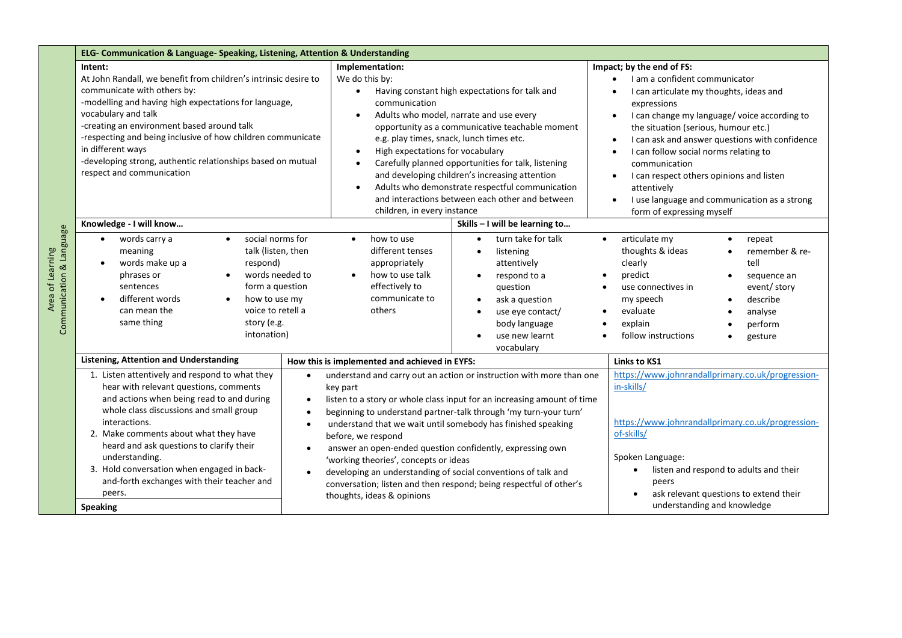| Intent:<br>At John Randall, we benefit from children's intrinsic desire to<br>communicate with others by:<br>-modelling and having high expectations for language,<br>vocabulary and talk<br>-creating an environment based around talk<br>-respecting and being inclusive of how children communicate<br>in different ways<br>-developing strong, authentic relationships based on mutual<br>respect and communication<br>Knowledge - I will know<br>social norms for<br>words carry a<br>$\bullet$<br>$\bullet$ | Implementation:<br>We do this by:<br>Having constant high expectations for talk and<br>$\bullet$<br>communication<br>Adults who model, narrate and use every<br>opportunity as a communicative teachable moment<br>e.g. play times, snack, lunch times etc.<br>High expectations for vocabulary<br>Carefully planned opportunities for talk, listening<br>and developing children's increasing attention<br>Adults who demonstrate respectful communication<br>$\bullet$<br>and interactions between each other and between<br>children, in every instance<br>Skills - I will be learning to | Impact; by the end of FS:<br>I am a confident communicator<br>I can articulate my thoughts, ideas and<br>expressions<br>I can change my language/voice according to<br>$\bullet$<br>the situation (serious, humour etc.)<br>I can ask and answer questions with confidence<br>I can follow social norms relating to<br>communication<br>I can respect others opinions and listen<br>attentively<br>I use language and communication as a strong<br>$\bullet$<br>form of expressing myself |  |
|-------------------------------------------------------------------------------------------------------------------------------------------------------------------------------------------------------------------------------------------------------------------------------------------------------------------------------------------------------------------------------------------------------------------------------------------------------------------------------------------------------------------|----------------------------------------------------------------------------------------------------------------------------------------------------------------------------------------------------------------------------------------------------------------------------------------------------------------------------------------------------------------------------------------------------------------------------------------------------------------------------------------------------------------------------------------------------------------------------------------------|-------------------------------------------------------------------------------------------------------------------------------------------------------------------------------------------------------------------------------------------------------------------------------------------------------------------------------------------------------------------------------------------------------------------------------------------------------------------------------------------|--|
|                                                                                                                                                                                                                                                                                                                                                                                                                                                                                                                   |                                                                                                                                                                                                                                                                                                                                                                                                                                                                                                                                                                                              |                                                                                                                                                                                                                                                                                                                                                                                                                                                                                           |  |
|                                                                                                                                                                                                                                                                                                                                                                                                                                                                                                                   |                                                                                                                                                                                                                                                                                                                                                                                                                                                                                                                                                                                              |                                                                                                                                                                                                                                                                                                                                                                                                                                                                                           |  |
| talk (listen, then<br>meaning<br>words make up a<br>respond)<br>words needed to<br>phrases or<br>form a question<br>sentences<br>different words<br>how to use my<br>$\bullet$<br>can mean the<br>voice to retell a<br>same thing<br>story (e.g.<br>intonation)                                                                                                                                                                                                                                                   | how to use<br>turn take for talk<br>$\bullet$<br>different tenses<br>listening<br>appropriately<br>attentively<br>how to use talk<br>respond to a<br>$\bullet$<br>effectively to<br>question<br>communicate to<br>ask a question<br>others<br>use eye contact/<br>body language<br>use new learnt<br>vocabulary                                                                                                                                                                                                                                                                              | articulate my<br>$\bullet$<br>repeat<br>thoughts & ideas<br>remember & re-<br>clearly<br>tell<br>predict<br>sequence an<br>event/ story<br>use connectives in<br>my speech<br>describe<br>evaluate<br>analyse<br>explain<br>perform<br>follow instructions<br>gesture                                                                                                                                                                                                                     |  |
| <b>Listening, Attention and Understanding</b>                                                                                                                                                                                                                                                                                                                                                                                                                                                                     | How this is implemented and achieved in EYFS:                                                                                                                                                                                                                                                                                                                                                                                                                                                                                                                                                | <b>Links to KS1</b>                                                                                                                                                                                                                                                                                                                                                                                                                                                                       |  |
| 1. Listen attentively and respond to what they<br>$\bullet$<br>hear with relevant questions, comments<br>and actions when being read to and during<br>$\bullet$<br>whole class discussions and small group<br>$\bullet$<br>interactions.<br>$\bullet$<br>2. Make comments about what they have<br>heard and ask questions to clarify their<br>$\bullet$                                                                                                                                                           | understand and carry out an action or instruction with more than one<br>key part<br>listen to a story or whole class input for an increasing amount of time<br>beginning to understand partner-talk through 'my turn-your turn'<br>understand that we wait until somebody has finished speaking<br>before, we respond<br>answer an open-ended question confidently, expressing own<br>'working theories', concepts or ideas                                                                                                                                                                  | https://www.johnrandallprimary.co.uk/progression-<br>in-skills/<br>https://www.johnrandallprimary.co.uk/progression-<br>of-skills/<br>Spoken Language:<br>listen and respond to adults and their<br>peers<br>ask relevant questions to extend their<br>understanding and knowledge                                                                                                                                                                                                        |  |
|                                                                                                                                                                                                                                                                                                                                                                                                                                                                                                                   | understanding.<br>3. Hold conversation when engaged in back-                                                                                                                                                                                                                                                                                                                                                                                                                                                                                                                                 | developing an understanding of social conventions of talk and<br>$\bullet$<br>and-forth exchanges with their teacher and<br>conversation; listen and then respond; being respectful of other's                                                                                                                                                                                                                                                                                            |  |

Area of Learning<br>punication & Lape Area of Learning